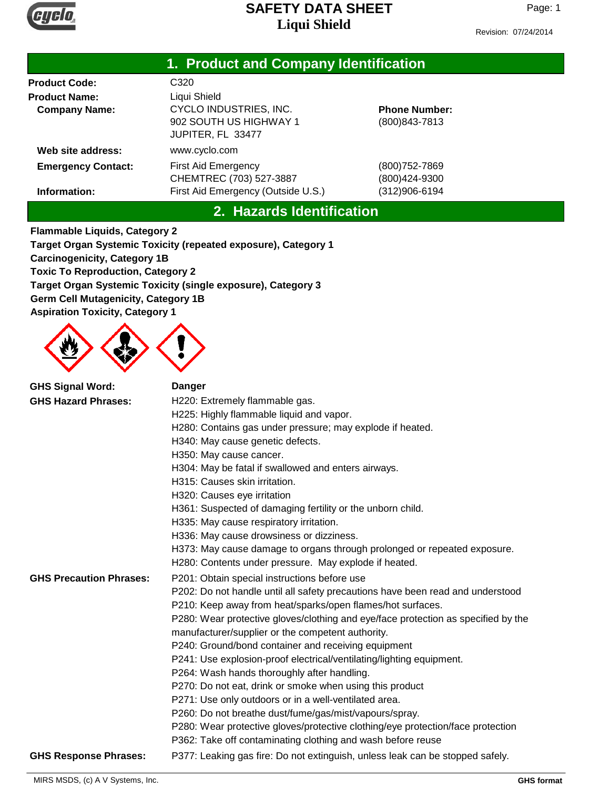

| Liqui Silielu                         |  |
|---------------------------------------|--|
|                                       |  |
| 1. Product and Company Identification |  |

| <b>Product Code:</b>      | C320                                                                  |                                        |
|---------------------------|-----------------------------------------------------------------------|----------------------------------------|
| <b>Product Name:</b>      | Liqui Shield                                                          |                                        |
| <b>Company Name:</b>      | CYCLO INDUSTRIES, INC.<br>902 SOUTH US HIGHWAY 1<br>JUPITER, FL 33477 | <b>Phone Number:</b><br>(800) 843-7813 |
| Web site address:         | www.cyclo.com                                                         |                                        |
| <b>Emergency Contact:</b> | <b>First Aid Emergency</b><br>CHEMTREC (703) 527-3887                 | (800)752-7869<br>(800)424-9300         |
| Information:              | First Aid Emergency (Outside U.S.)                                    | (312)906-6194                          |

### **2. Hazards Identification**

**Flammable Liquids, Category 2 Target Organ Systemic Toxicity (repeated exposure), Category 1 Carcinogenicity, Category 1B Toxic To Reproduction, Category 2 Target Organ Systemic Toxicity (single exposure), Category 3 Germ Cell Mutagenicity, Category 1B Aspiration Toxicity, Category 1**



| <b>GHS Signal Word:</b><br><b>GHS Hazard Phrases:</b> | <b>Danger</b><br>H220: Extremely flammable gas.<br>H225: Highly flammable liquid and vapor.<br>H280: Contains gas under pressure; may explode if heated.<br>H340: May cause genetic defects.<br>H350: May cause cancer.<br>H304: May be fatal if swallowed and enters airways.<br>H315: Causes skin irritation.<br>H320: Causes eye irritation<br>H361: Suspected of damaging fertility or the unborn child.<br>H335: May cause respiratory irritation.<br>H336: May cause drowsiness or dizziness.<br>H373: May cause damage to organs through prolonged or repeated exposure.                                                                                                                                                                                                                       |
|-------------------------------------------------------|-------------------------------------------------------------------------------------------------------------------------------------------------------------------------------------------------------------------------------------------------------------------------------------------------------------------------------------------------------------------------------------------------------------------------------------------------------------------------------------------------------------------------------------------------------------------------------------------------------------------------------------------------------------------------------------------------------------------------------------------------------------------------------------------------------|
| <b>GHS Precaution Phrases:</b>                        | H280: Contents under pressure. May explode if heated.<br>P201: Obtain special instructions before use                                                                                                                                                                                                                                                                                                                                                                                                                                                                                                                                                                                                                                                                                                 |
|                                                       | P202: Do not handle until all safety precautions have been read and understood<br>P210: Keep away from heat/sparks/open flames/hot surfaces.<br>P280: Wear protective gloves/clothing and eye/face protection as specified by the<br>manufacturer/supplier or the competent authority.<br>P240: Ground/bond container and receiving equipment<br>P241: Use explosion-proof electrical/ventilating/lighting equipment.<br>P264: Wash hands thoroughly after handling.<br>P270: Do not eat, drink or smoke when using this product<br>P271: Use only outdoors or in a well-ventilated area.<br>P260: Do not breathe dust/fume/gas/mist/vapours/spray.<br>P280: Wear protective gloves/protective clothing/eye protection/face protection<br>P362: Take off contaminating clothing and wash before reuse |
| <b>GHS Response Phrases:</b>                          | P377: Leaking gas fire: Do not extinguish, unless leak can be stopped safely.                                                                                                                                                                                                                                                                                                                                                                                                                                                                                                                                                                                                                                                                                                                         |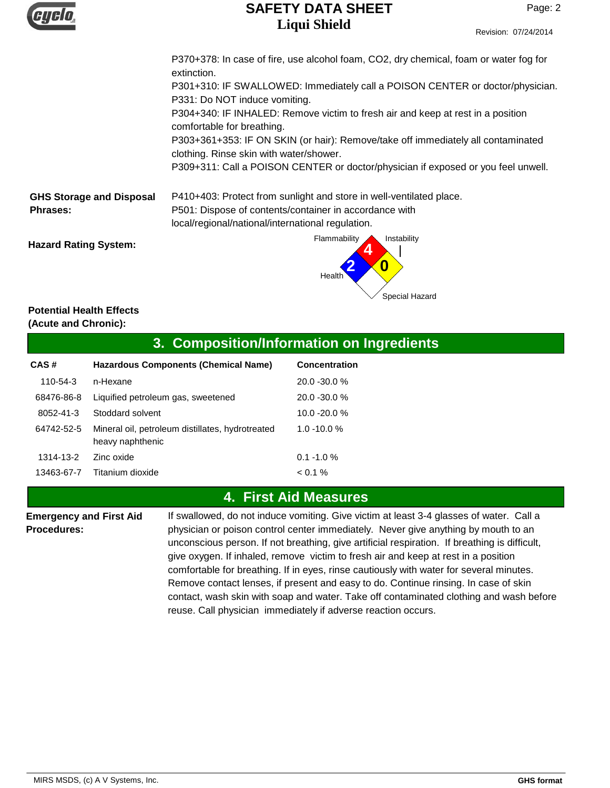

|                                 | P370+378: In case of fire, use alcohol foam, CO2, dry chemical, foam or water fog for<br>extinction.                        |
|---------------------------------|-----------------------------------------------------------------------------------------------------------------------------|
|                                 | P301+310: IF SWALLOWED: Immediately call a POISON CENTER or doctor/physician.<br>P331: Do NOT induce vomiting.              |
|                                 | P304+340: IF INHALED: Remove victim to fresh air and keep at rest in a position<br>comfortable for breathing.               |
|                                 | P303+361+353: IF ON SKIN (or hair): Remove/take off immediately all contaminated<br>clothing. Rinse skin with water/shower. |
|                                 | P309+311: Call a POISON CENTER or doctor/physician if exposed or you feel unwell.                                           |
| <b>GHS Storage and Disposal</b> | P410+403: Protect from sunlight and store in well-ventilated place.                                                         |
| <b>Phrases:</b>                 | P501: Dispose of contents/container in accordance with<br>local/regional/national/international regulation.                 |
| <b>Hazard Rating System:</b>    | Flammability<br>Instability                                                                                                 |

#### **Potential Health Effects (Acute and Chronic):**

#### **3. Composition/Information on Ingredients**

Health

| CAS#       | Hazardous Components (Chemical Name)                                 | Concentration   |
|------------|----------------------------------------------------------------------|-----------------|
| 110-54-3   | n-Hexane                                                             | $20.0 - 30.0 %$ |
| 68476-86-8 | Liquified petroleum gas, sweetened                                   | $20.0 - 30.0 %$ |
| 8052-41-3  | Stoddard solvent                                                     | $10.0 - 20.0 %$ |
| 64742-52-5 | Mineral oil, petroleum distillates, hydrotreated<br>heavy naphthenic | $1.0 - 10.0 %$  |
| 1314-13-2  | Zinc oxide                                                           | $0.1 - 1.0 %$   |
| 13463-67-7 | Titanium dioxide                                                     | $0.1\%$         |

## **4. First Aid Measures**

**Emergency and First Aid Procedures:**

If swallowed, do not induce vomiting. Give victim at least 3-4 glasses of water. Call a physician or poison control center immediately. Never give anything by mouth to an unconscious person. If not breathing, give artificial respiration. If breathing is difficult, give oxygen. If inhaled, remove victim to fresh air and keep at rest in a position comfortable for breathing. If in eyes, rinse cautiously with water for several minutes. Remove contact lenses, if present and easy to do. Continue rinsing. In case of skin contact, wash skin with soap and water. Take off contaminated clothing and wash before reuse. Call physician immediately if adverse reaction occurs.

Special Hazard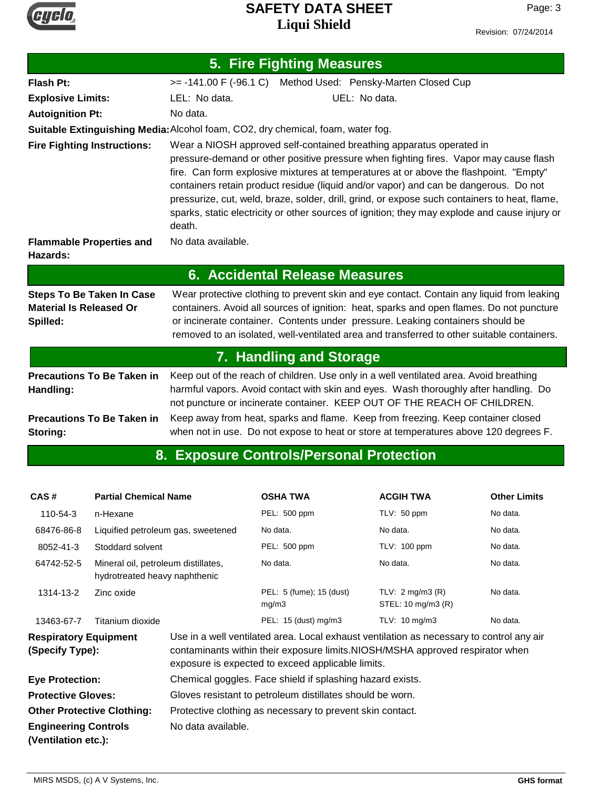

| 5. Fire Fighting Measures                                                      |                                                                                                                                                                                                                                                                                                                                                                                                                                                                                                                                                            |  |  |  |
|--------------------------------------------------------------------------------|------------------------------------------------------------------------------------------------------------------------------------------------------------------------------------------------------------------------------------------------------------------------------------------------------------------------------------------------------------------------------------------------------------------------------------------------------------------------------------------------------------------------------------------------------------|--|--|--|
| <b>Flash Pt:</b>                                                               | >= -141.00 F (-96.1 C) Method Used: Pensky-Marten Closed Cup                                                                                                                                                                                                                                                                                                                                                                                                                                                                                               |  |  |  |
| <b>Explosive Limits:</b>                                                       | LEL: No data.<br>UEL: No data.                                                                                                                                                                                                                                                                                                                                                                                                                                                                                                                             |  |  |  |
| <b>Autoignition Pt:</b>                                                        | No data.                                                                                                                                                                                                                                                                                                                                                                                                                                                                                                                                                   |  |  |  |
|                                                                                | Suitable Extinguishing Media: Alcohol foam, CO2, dry chemical, foam, water fog.                                                                                                                                                                                                                                                                                                                                                                                                                                                                            |  |  |  |
| <b>Fire Fighting Instructions:</b>                                             | Wear a NIOSH approved self-contained breathing apparatus operated in<br>pressure-demand or other positive pressure when fighting fires. Vapor may cause flash<br>fire. Can form explosive mixtures at temperatures at or above the flashpoint. "Empty"<br>containers retain product residue (liquid and/or vapor) and can be dangerous. Do not<br>pressurize, cut, weld, braze, solder, drill, grind, or expose such containers to heat, flame,<br>sparks, static electricity or other sources of ignition; they may explode and cause injury or<br>death. |  |  |  |
| <b>Flammable Properties and</b><br>Hazards:                                    | No data available.                                                                                                                                                                                                                                                                                                                                                                                                                                                                                                                                         |  |  |  |
| <b>6. Accidental Release Measures</b>                                          |                                                                                                                                                                                                                                                                                                                                                                                                                                                                                                                                                            |  |  |  |
| <b>Steps To Be Taken In Case</b><br><b>Material Is Released Or</b><br>Spilled: | Wear protective clothing to prevent skin and eye contact. Contain any liquid from leaking<br>containers. Avoid all sources of ignition: heat, sparks and open flames. Do not puncture<br>or incinerate container. Contents under pressure. Leaking containers should be<br>removed to an isolated, well-ventilated area and transferred to other suitable containers.                                                                                                                                                                                      |  |  |  |
|                                                                                | 7. Handling and Storage                                                                                                                                                                                                                                                                                                                                                                                                                                                                                                                                    |  |  |  |
| <b>Precautions To Be Taken in</b><br>Handling:                                 | Keep out of the reach of children. Use only in a well ventilated area. Avoid breathing<br>harmful vapors. Avoid contact with skin and eyes. Wash thoroughly after handling. Do<br>not puncture or incinerate container. KEEP OUT OF THE REACH OF CHILDREN.                                                                                                                                                                                                                                                                                                 |  |  |  |
| <b>Precautions To Be Taken in</b><br>Storing:                                  | Keep away from heat, sparks and flame. Keep from freezing. Keep container closed<br>when not in use. Do not expose to heat or store at temperatures above 120 degrees F.                                                                                                                                                                                                                                                                                                                                                                                   |  |  |  |

# **8. Exposure Controls/Personal Protection**

| CAS#<br><b>Partial Chemical Name</b>            |                                                                      |                                                                                                                                                                                                                                | <b>OSHA TWA</b>                   | <b>ACGIH TWA</b>                                 | <b>Other Limits</b> |
|-------------------------------------------------|----------------------------------------------------------------------|--------------------------------------------------------------------------------------------------------------------------------------------------------------------------------------------------------------------------------|-----------------------------------|--------------------------------------------------|---------------------|
| 110-54-3                                        | n-Hexane                                                             |                                                                                                                                                                                                                                | PEL: 500 ppm                      | TLV: 50 ppm                                      | No data.            |
| 68476-86-8                                      | Liquified petroleum gas, sweetened                                   |                                                                                                                                                                                                                                | No data.                          | No data.                                         | No data.            |
| 8052-41-3                                       | Stoddard solvent                                                     |                                                                                                                                                                                                                                | PEL: 500 ppm                      | <b>TLV: 100 ppm</b>                              | No data.            |
| 64742-52-5                                      | Mineral oil, petroleum distillates,<br>hydrotreated heavy naphthenic |                                                                                                                                                                                                                                | No data.                          | No data.                                         | No data.            |
| 1314-13-2                                       | Zinc oxide                                                           |                                                                                                                                                                                                                                | PEL: 5 (fume); 15 (dust)<br>mg/m3 | TLV: $2 \text{mq/m}$ 3 (R)<br>STEL: 10 mg/m3 (R) | No data.            |
| 13463-67-7                                      | Titanium dioxide                                                     |                                                                                                                                                                                                                                | PEL: 15 (dust) mg/m3              | TLV: $10 \text{ mg/m}$ 3                         | No data.            |
| <b>Respiratory Equipment</b><br>(Specify Type): |                                                                      | Use in a well ventilated area. Local exhaust ventilation as necessary to control any air<br>contaminants within their exposure limits.NIOSH/MSHA approved respirator when<br>exposure is expected to exceed applicable limits. |                                   |                                                  |                     |
| <b>Eye Protection:</b>                          |                                                                      | Chemical goggles. Face shield if splashing hazard exists.                                                                                                                                                                      |                                   |                                                  |                     |
| <b>Protective Gloves:</b>                       |                                                                      | Gloves resistant to petroleum distillates should be worn.                                                                                                                                                                      |                                   |                                                  |                     |
| <b>Other Protective Clothing:</b>               |                                                                      | Protective clothing as necessary to prevent skin contact.                                                                                                                                                                      |                                   |                                                  |                     |

**Engineering Controls** No data available.

**(Ventilation etc.):**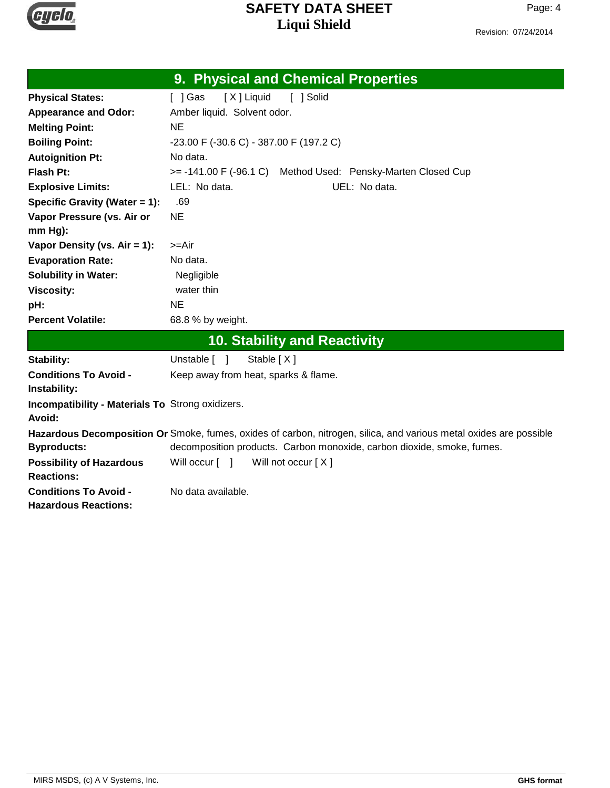

Revision: 07/24/2014

|                                                                   | 9. Physical and Chemical Properties                                                                                |
|-------------------------------------------------------------------|--------------------------------------------------------------------------------------------------------------------|
| <b>Physical States:</b>                                           | [X] Liquid<br>[ ] Solid<br>[ ] Gas                                                                                 |
| <b>Appearance and Odor:</b>                                       | Amber liquid. Solvent odor.                                                                                        |
| <b>Melting Point:</b>                                             | <b>NE</b>                                                                                                          |
| <b>Boiling Point:</b>                                             | -23.00 F (-30.6 C) - 387.00 F (197.2 C)                                                                            |
| <b>Autoignition Pt:</b>                                           | No data.                                                                                                           |
| <b>Flash Pt:</b>                                                  | >= -141.00 F (-96.1 C) Method Used: Pensky-Marten Closed Cup                                                       |
| <b>Explosive Limits:</b>                                          | LEL: No data.<br>UEL: No data.                                                                                     |
| Specific Gravity (Water = 1):                                     | .69                                                                                                                |
| Vapor Pressure (vs. Air or                                        | <b>NE</b>                                                                                                          |
| mm Hg):                                                           |                                                                                                                    |
| Vapor Density (vs. $Air = 1$ ):                                   | >=Air                                                                                                              |
| <b>Evaporation Rate:</b>                                          | No data.                                                                                                           |
| <b>Solubility in Water:</b>                                       | Negligible                                                                                                         |
| <b>Viscosity:</b>                                                 | water thin                                                                                                         |
| pH:                                                               | <b>NE</b>                                                                                                          |
| <b>Percent Volatile:</b>                                          | 68.8 % by weight.                                                                                                  |
|                                                                   | 10. Stability and Reactivity                                                                                       |
| Stability:                                                        | Unstable [ ]<br>Stable [X]                                                                                         |
| <b>Conditions To Avoid -</b><br>Instability:                      | Keep away from heat, sparks & flame.                                                                               |
| <b>Incompatibility - Materials To Strong oxidizers.</b><br>Avoid: |                                                                                                                    |
|                                                                   | Hazardous Decomposition Or Smoke, fumes, oxides of carbon, nitrogen, silica, and various metal oxides are possible |
| <b>Byproducts:</b>                                                | decomposition products. Carbon monoxide, carbon dioxide, smoke, fumes.                                             |
| <b>Possibility of Hazardous</b><br><b>Reactions:</b>              | Will occur [ ]<br>Will not occur $[X]$                                                                             |
| <b>Conditions To Avoid -</b><br><b>Hazardous Reactions:</b>       | No data available.                                                                                                 |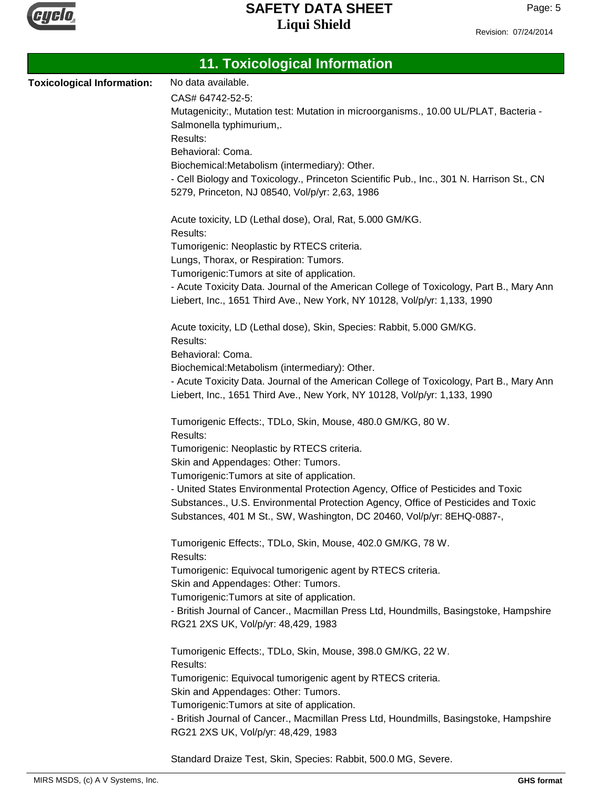

| <b>11. Toxicological Information</b> |                                                                                                                                                                                                                                                |  |  |
|--------------------------------------|------------------------------------------------------------------------------------------------------------------------------------------------------------------------------------------------------------------------------------------------|--|--|
| <b>Toxicological Information:</b>    | No data available.                                                                                                                                                                                                                             |  |  |
|                                      | CAS# 64742-52-5:                                                                                                                                                                                                                               |  |  |
|                                      | Mutagenicity:, Mutation test: Mutation in microorganisms., 10.00 UL/PLAT, Bacteria -                                                                                                                                                           |  |  |
|                                      | Salmonella typhimurium,.                                                                                                                                                                                                                       |  |  |
|                                      | Results:                                                                                                                                                                                                                                       |  |  |
|                                      | Behavioral: Coma.                                                                                                                                                                                                                              |  |  |
|                                      | Biochemical: Metabolism (intermediary): Other.                                                                                                                                                                                                 |  |  |
|                                      | - Cell Biology and Toxicology., Princeton Scientific Pub., Inc., 301 N. Harrison St., CN<br>5279, Princeton, NJ 08540, Vol/p/yr: 2,63, 1986                                                                                                    |  |  |
|                                      | Acute toxicity, LD (Lethal dose), Oral, Rat, 5.000 GM/KG.                                                                                                                                                                                      |  |  |
|                                      | Results:                                                                                                                                                                                                                                       |  |  |
|                                      | Tumorigenic: Neoplastic by RTECS criteria.                                                                                                                                                                                                     |  |  |
|                                      | Lungs, Thorax, or Respiration: Tumors.                                                                                                                                                                                                         |  |  |
|                                      | Tumorigenic: Tumors at site of application.                                                                                                                                                                                                    |  |  |
|                                      | - Acute Toxicity Data. Journal of the American College of Toxicology, Part B., Mary Ann<br>Liebert, Inc., 1651 Third Ave., New York, NY 10128, Vol/p/yr: 1,133, 1990                                                                           |  |  |
|                                      | Acute toxicity, LD (Lethal dose), Skin, Species: Rabbit, 5.000 GM/KG.<br>Results:                                                                                                                                                              |  |  |
|                                      | Behavioral: Coma.                                                                                                                                                                                                                              |  |  |
|                                      | Biochemical:Metabolism (intermediary): Other.                                                                                                                                                                                                  |  |  |
|                                      | - Acute Toxicity Data. Journal of the American College of Toxicology, Part B., Mary Ann                                                                                                                                                        |  |  |
|                                      | Liebert, Inc., 1651 Third Ave., New York, NY 10128, Vol/p/yr: 1,133, 1990                                                                                                                                                                      |  |  |
|                                      | Tumorigenic Effects:, TDLo, Skin, Mouse, 480.0 GM/KG, 80 W.                                                                                                                                                                                    |  |  |
|                                      | Results:                                                                                                                                                                                                                                       |  |  |
|                                      | Tumorigenic: Neoplastic by RTECS criteria.                                                                                                                                                                                                     |  |  |
|                                      | Skin and Appendages: Other: Tumors.                                                                                                                                                                                                            |  |  |
|                                      | Tumorigenic: Tumors at site of application.                                                                                                                                                                                                    |  |  |
|                                      | - United States Environmental Protection Agency, Office of Pesticides and Toxic<br>Substances., U.S. Environmental Protection Agency, Office of Pesticides and Toxic<br>Substances, 401 M St., SW, Washington, DC 20460, Vol/p/yr: 8EHQ-0887-, |  |  |
|                                      | Tumorigenic Effects:, TDLo, Skin, Mouse, 402.0 GM/KG, 78 W.<br>Results:                                                                                                                                                                        |  |  |
|                                      | Tumorigenic: Equivocal tumorigenic agent by RTECS criteria.                                                                                                                                                                                    |  |  |
|                                      | Skin and Appendages: Other: Tumors.                                                                                                                                                                                                            |  |  |
|                                      | Tumorigenic: Tumors at site of application.                                                                                                                                                                                                    |  |  |
|                                      | - British Journal of Cancer., Macmillan Press Ltd, Houndmills, Basingstoke, Hampshire                                                                                                                                                          |  |  |
|                                      | RG21 2XS UK, Vol/p/yr: 48,429, 1983                                                                                                                                                                                                            |  |  |
|                                      | Tumorigenic Effects:, TDLo, Skin, Mouse, 398.0 GM/KG, 22 W.<br>Results:                                                                                                                                                                        |  |  |
|                                      | Tumorigenic: Equivocal tumorigenic agent by RTECS criteria.                                                                                                                                                                                    |  |  |
|                                      | Skin and Appendages: Other: Tumors.                                                                                                                                                                                                            |  |  |
|                                      | Tumorigenic: Tumors at site of application.                                                                                                                                                                                                    |  |  |
|                                      | - British Journal of Cancer., Macmillan Press Ltd, Houndmills, Basingstoke, Hampshire                                                                                                                                                          |  |  |
|                                      | RG21 2XS UK, Vol/p/yr: 48,429, 1983                                                                                                                                                                                                            |  |  |
|                                      |                                                                                                                                                                                                                                                |  |  |

Standard Draize Test, Skin, Species: Rabbit, 500.0 MG, Severe.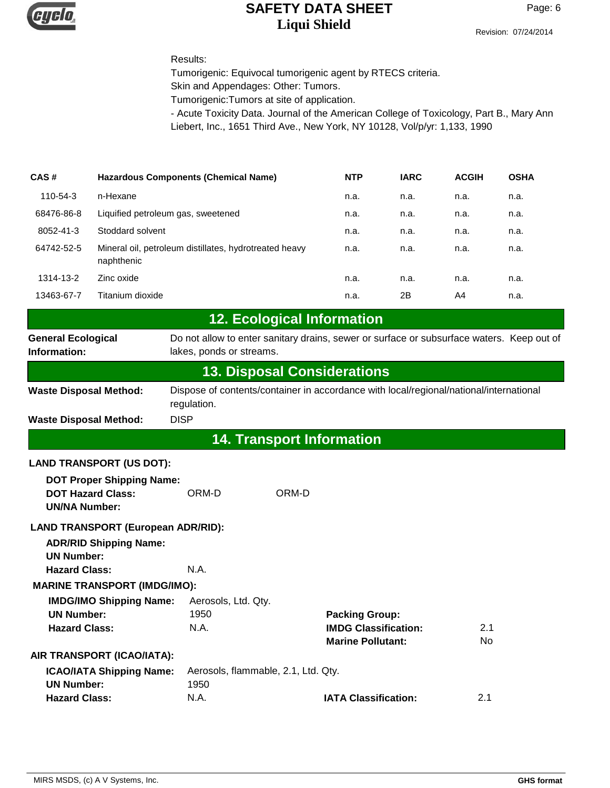

#### Results:

Tumorigenic: Equivocal tumorigenic agent by RTECS criteria.

Skin and Appendages: Other: Tumors.

Tumorigenic:Tumors at site of application.

- Acute Toxicity Data. Journal of the American College of Toxicology, Part B., Mary Ann Liebert, Inc., 1651 Third Ave., New York, NY 10128, Vol/p/yr: 1,133, 1990

| CAS#       | <b>Hazardous Components (Chemical Name)</b>                          | <b>NTP</b> | <b>IARC</b> | <b>ACGIH</b> | <b>OSHA</b> |
|------------|----------------------------------------------------------------------|------------|-------------|--------------|-------------|
| 110-54-3   | n-Hexane                                                             | n.a.       | n.a.        | n.a.         | n.a.        |
| 68476-86-8 | Liquified petroleum gas, sweetened                                   | n.a.       | n.a.        | n.a.         | n.a.        |
| 8052-41-3  | Stoddard solvent                                                     | n.a.       | n.a.        | n.a.         | n.a.        |
| 64742-52-5 | Mineral oil, petroleum distillates, hydrotreated heavy<br>naphthenic | n.a.       | n.a.        | n.a.         | n.a.        |
| 1314-13-2  | Zinc oxide                                                           | n.a.       | n.a.        | n.a.         | n.a.        |
| 13463-67-7 | Titanium dioxide                                                     | n.a.       | 2B          | A4           | n.a.        |

| <b>IZ. ECOlogical Information</b>         |                                                                                                                       |  |
|-------------------------------------------|-----------------------------------------------------------------------------------------------------------------------|--|
| <b>General Ecological</b><br>Information: | Do not allow to enter sanitary drains, sewer or surface or subsurface waters. Keep out of<br>lakes, ponds or streams. |  |
| <b>13. Disposal Considerations</b>        |                                                                                                                       |  |
| Waste Disposal Mathadi                    | Dispose of contents/container in accordance with local/regional/pational/international                                |  |

**12. Ecological Information**

| AA Teamanach lefacomatian     |                                                                                        |  |  |
|-------------------------------|----------------------------------------------------------------------------------------|--|--|
| <b>Waste Disposal Method:</b> | DISP                                                                                   |  |  |
|                               | regulation.                                                                            |  |  |
| <b>Waste Disposal Method:</b> | Dispose of contents/container in accordance with local/regional/national/international |  |  |

#### **14. Transport Information**

#### **LAND TRANSPORT (US DOT):**

| <b>DOT Proper Shipping Name:</b><br><b>DOT Hazard Class:</b><br><b>UN/NA Number:</b> | ORM-D                               | ORM-D                       |     |
|--------------------------------------------------------------------------------------|-------------------------------------|-----------------------------|-----|
| LAND TRANSPORT (European ADR/RID):                                                   |                                     |                             |     |
| <b>ADR/RID Shipping Name:</b>                                                        |                                     |                             |     |
| <b>UN Number:</b>                                                                    |                                     |                             |     |
| <b>Hazard Class:</b>                                                                 | N.A.                                |                             |     |
| <b>MARINE TRANSPORT (IMDG/IMO):</b>                                                  |                                     |                             |     |
| <b>IMDG/IMO Shipping Name:</b>                                                       | Aerosols, Ltd. Qty.                 |                             |     |
| <b>UN Number:</b>                                                                    | 1950                                | <b>Packing Group:</b>       |     |
| <b>Hazard Class:</b>                                                                 | N.A.                                | <b>IMDG Classification:</b> | 2.1 |
|                                                                                      |                                     | <b>Marine Pollutant:</b>    | No. |
| AIR TRANSPORT (ICAO/IATA):                                                           |                                     |                             |     |
| <b>ICAO/IATA Shipping Name:</b>                                                      | Aerosols, flammable, 2.1, Ltd. Qty. |                             |     |
| <b>UN Number:</b>                                                                    | 1950                                |                             |     |
| <b>Hazard Class:</b>                                                                 | N.A.                                | <b>IATA Classification:</b> | 2.1 |
|                                                                                      |                                     |                             |     |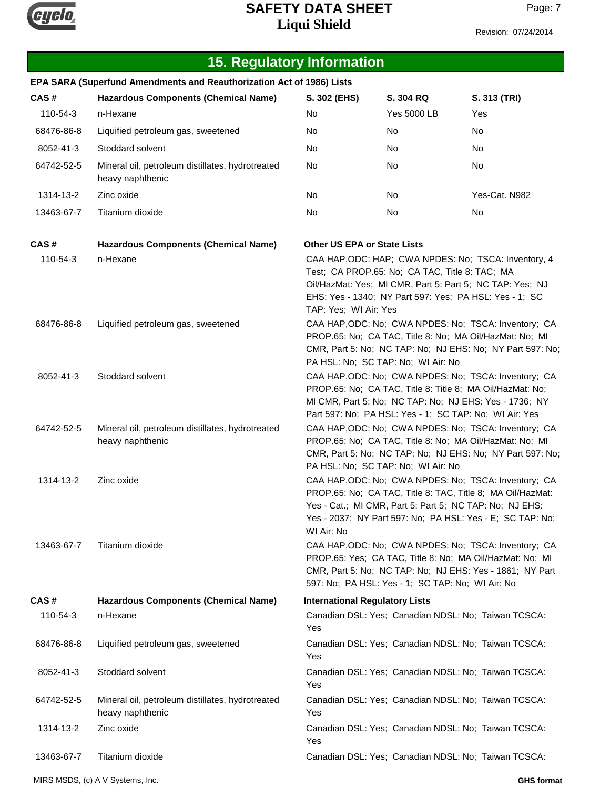

| <b>15. Regulatory Information</b>                                     |                                                                      |                                                                                                                                                                                                                                                          |             |                                                     |  |  |
|-----------------------------------------------------------------------|----------------------------------------------------------------------|----------------------------------------------------------------------------------------------------------------------------------------------------------------------------------------------------------------------------------------------------------|-------------|-----------------------------------------------------|--|--|
| EPA SARA (Superfund Amendments and Reauthorization Act of 1986) Lists |                                                                      |                                                                                                                                                                                                                                                          |             |                                                     |  |  |
| CAS#                                                                  | <b>Hazardous Components (Chemical Name)</b>                          | S. 302 (EHS)                                                                                                                                                                                                                                             | S. 304 RQ   | S. 313 (TRI)                                        |  |  |
| 110-54-3                                                              | n-Hexane                                                             | No                                                                                                                                                                                                                                                       | Yes 5000 LB | Yes                                                 |  |  |
| 68476-86-8                                                            | Liquified petroleum gas, sweetened                                   | No                                                                                                                                                                                                                                                       | No          | No                                                  |  |  |
| 8052-41-3                                                             | Stoddard solvent                                                     | No                                                                                                                                                                                                                                                       | No          | No                                                  |  |  |
| 64742-52-5                                                            | Mineral oil, petroleum distillates, hydrotreated<br>heavy naphthenic | No                                                                                                                                                                                                                                                       | No          | No                                                  |  |  |
| 1314-13-2                                                             | Zinc oxide                                                           | No                                                                                                                                                                                                                                                       | No          | Yes-Cat. N982                                       |  |  |
| 13463-67-7                                                            | Titanium dioxide                                                     | No                                                                                                                                                                                                                                                       | No          | No                                                  |  |  |
| CAS#                                                                  | <b>Hazardous Components (Chemical Name)</b>                          | <b>Other US EPA or State Lists</b>                                                                                                                                                                                                                       |             |                                                     |  |  |
| 110-54-3                                                              | n-Hexane                                                             | CAA HAP, ODC: HAP; CWA NPDES: No; TSCA: Inventory, 4<br>Test; CA PROP.65: No; CA TAC, Title 8: TAC; MA<br>Oil/HazMat: Yes; MI CMR, Part 5: Part 5; NC TAP: Yes; NJ<br>EHS: Yes - 1340; NY Part 597: Yes; PA HSL: Yes - 1; SC<br>TAP: Yes; WI Air: Yes    |             |                                                     |  |  |
| 68476-86-8                                                            | Liquified petroleum gas, sweetened                                   | CAA HAP, ODC: No; CWA NPDES: No; TSCA: Inventory; CA<br>PROP.65: No; CA TAC, Title 8: No; MA Oil/HazMat: No; MI<br>CMR, Part 5: No; NC TAP: No; NJ EHS: No; NY Part 597: No;<br>PA HSL: No; SC TAP: No; WI Air: No                                       |             |                                                     |  |  |
| 8052-41-3                                                             | Stoddard solvent                                                     | CAA HAP, ODC: No; CWA NPDES: No; TSCA: Inventory; CA<br>PROP.65: No; CA TAC, Title 8: Title 8; MA Oil/HazMat: No;<br>MI CMR, Part 5: No; NC TAP: No; NJ EHS: Yes - 1736; NY<br>Part 597: No; PA HSL: Yes - 1; SC TAP: No; WI Air: Yes                    |             |                                                     |  |  |
| 64742-52-5                                                            | Mineral oil, petroleum distillates, hydrotreated<br>heavy naphthenic | CAA HAP, ODC: No; CWA NPDES: No; TSCA: Inventory; CA<br>PROP.65: No; CA TAC, Title 8: No; MA Oil/HazMat: No; MI<br>CMR, Part 5: No; NC TAP: No; NJ EHS: No; NY Part 597: No;<br>PA HSL: No; SC TAP: No; WI Air: No                                       |             |                                                     |  |  |
| 1314-13-2                                                             | Zinc oxide                                                           | CAA HAP, ODC: No; CWA NPDES: No; TSCA: Inventory; CA<br>PROP.65: No; CA TAC, Title 8: TAC, Title 8; MA Oil/HazMat:<br>Yes - Cat.; MI CMR, Part 5: Part 5; NC TAP: No: NJ EHS:<br>Yes - 2037; NY Part 597: No; PA HSL: Yes - E; SC TAP: No;<br>WI Air: No |             |                                                     |  |  |
| 13463-67-7                                                            | Titanium dioxide                                                     | CAA HAP, ODC: No; CWA NPDES: No; TSCA: Inventory; CA<br>PROP.65: Yes; CA TAC, Title 8: No; MA Oil/HazMat: No; MI<br>CMR, Part 5: No; NC TAP: No; NJ EHS: Yes - 1861; NY Part<br>597: No; PA HSL: Yes - 1; SC TAP: No; WI Air: No                         |             |                                                     |  |  |
| CAS#                                                                  | <b>Hazardous Components (Chemical Name)</b>                          | <b>International Regulatory Lists</b>                                                                                                                                                                                                                    |             |                                                     |  |  |
| 110-54-3                                                              | n-Hexane                                                             | Yes                                                                                                                                                                                                                                                      |             | Canadian DSL: Yes; Canadian NDSL: No; Taiwan TCSCA: |  |  |
| 68476-86-8                                                            | Liquified petroleum gas, sweetened                                   | Yes                                                                                                                                                                                                                                                      |             | Canadian DSL: Yes; Canadian NDSL: No; Taiwan TCSCA: |  |  |
| 8052-41-3                                                             | Stoddard solvent                                                     | Canadian DSL: Yes; Canadian NDSL: No; Taiwan TCSCA:<br>Yes                                                                                                                                                                                               |             |                                                     |  |  |
| 64742-52-5                                                            | Mineral oil, petroleum distillates, hydrotreated<br>heavy naphthenic | Canadian DSL: Yes; Canadian NDSL: No; Taiwan TCSCA:<br>Yes                                                                                                                                                                                               |             |                                                     |  |  |
| 1314-13-2                                                             | Zinc oxide                                                           | Canadian DSL: Yes; Canadian NDSL: No; Taiwan TCSCA:<br>Yes                                                                                                                                                                                               |             |                                                     |  |  |
| 13463-67-7                                                            | Titanium dioxide                                                     |                                                                                                                                                                                                                                                          |             | Canadian DSL: Yes; Canadian NDSL: No; Taiwan TCSCA: |  |  |

MIRS MSDS, (c) A V Systems, Inc. **GHS format**